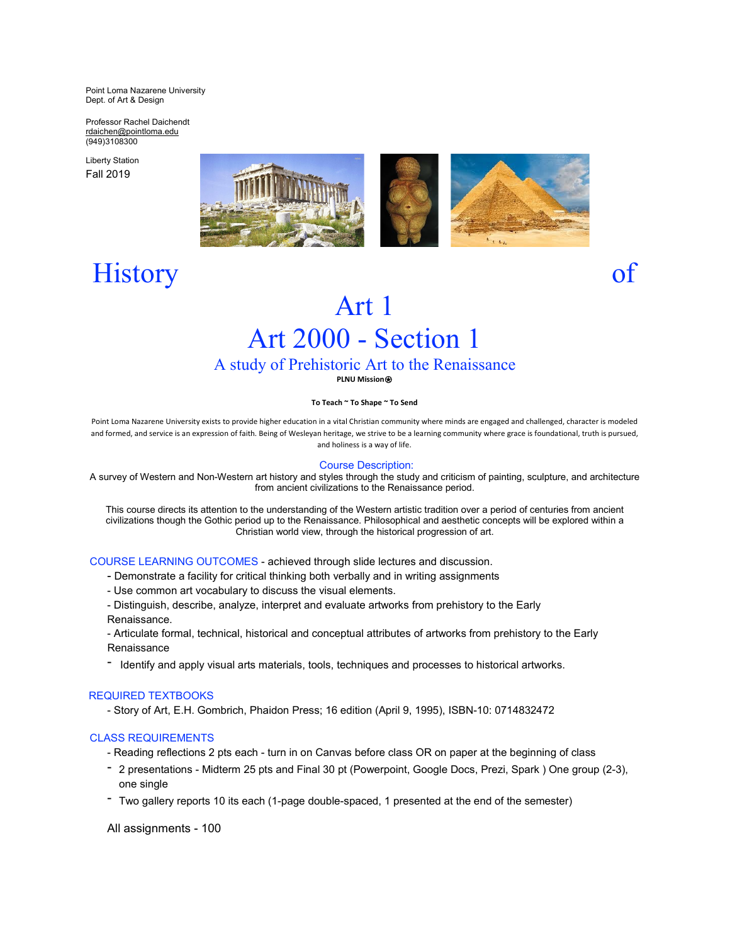Point Loma Nazarene University Dept. of Art & Design

Professor Rachel Daichendt [rdaichen@pointloma.edu](mailto:rdaichen@pointloma.edu) (949)3108300

Liberty Station Fall 2019



# History of

## Art 1 Art 2000 - Section 1

## A study of Prehistoric Art to the Renaissance

**PLNU Mission**⍟

## **To Teach ~ To Shape ~ To Send**

Point Loma Nazarene University exists to provide higher education in a vital Christian community where minds are engaged and challenged, character is modeled and formed, and service is an expression of faith. Being of Wesleyan heritage, we strive to be a learning community where grace is foundational, truth is pursued, and holiness is a way of life.

## Course Description:

A survey of Western and Non-Western art history and styles through the study and criticism of painting, sculpture, and architecture from ancient civilizations to the Renaissance period.

This course directs its attention to the understanding of the Western artistic tradition over a period of centuries from ancient civilizations though the Gothic period up to the Renaissance. Philosophical and aesthetic concepts will be explored within a Christian world view, through the historical progression of art.

## COURSE LEARNING OUTCOMES - achieved through slide lectures and discussion.

- Demonstrate a facility for critical thinking both verbally and in writing assignments
- Use common art vocabulary to discuss the visual elements.
- Distinguish, describe, analyze, interpret and evaluate artworks from prehistory to the Early Renaissance.

- Articulate formal, technical, historical and conceptual attributes of artworks from prehistory to the Early Renaissance

- Identify and apply visual arts materials, tools, techniques and processes to historical artworks.

## REQUIRED TEXTBOOKS

- Story of Art, E.H. Gombrich, Phaidon Press; 16 edition (April 9, 1995), ISBN-10: 0714832472

## CLASS REQUIREMENTS

- Reading reflections 2 pts each turn in on Canvas before class OR on paper at the beginning of class
- 2 presentations Midterm 25 pts and Final 30 pt (Powerpoint, Google Docs, Prezi, Spark ) One group (2-3), one single
- Two gallery reports 10 its each (1-page double-spaced, 1 presented at the end of the semester)

All assignments - 100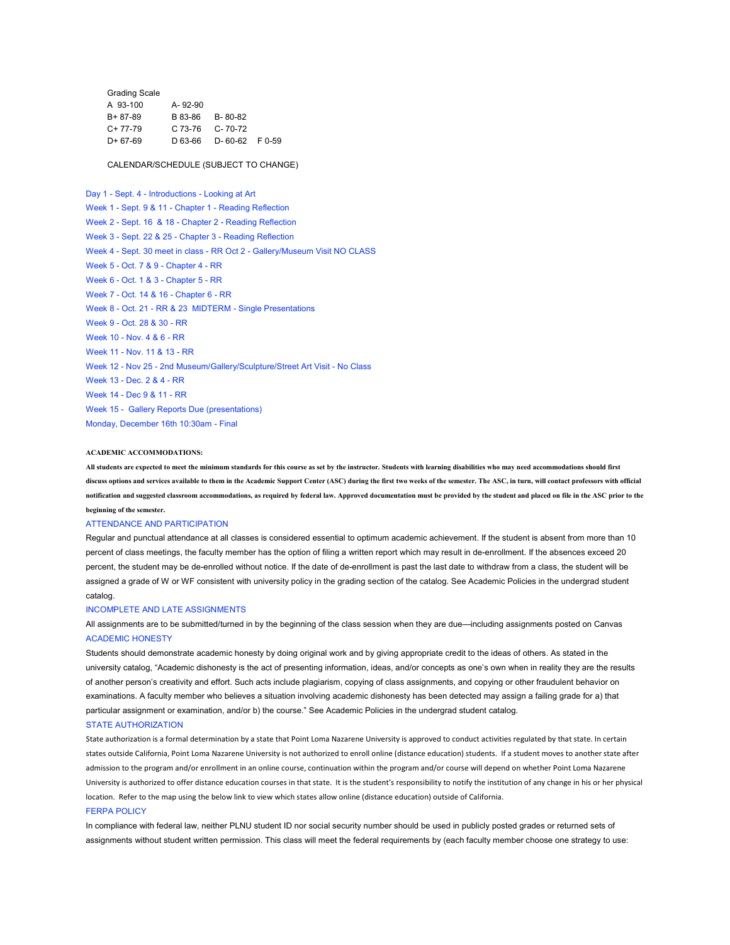| A-92-90 |                                                                    |
|---------|--------------------------------------------------------------------|
|         |                                                                    |
|         |                                                                    |
|         |                                                                    |
|         | B 83-86 B-80-82<br>$C$ 73-76 $C$ - 70-72<br>D 63-66 D-60-62 F 0-59 |

### CALENDAR/SCHEDULE (SUBJECT TO CHANGE)

Day 1 - Sept. 4 - Introductions - Looking at Art Week 1 - Sept. 9 & 11 - Chapter 1 - Reading Reflection Week 2 - Sept. 16 & 18 - Chapter 2 - Reading Reflection Week 3 - Sept. 22 & 25 - Chapter 3 - Reading Reflection Week 4 - Sept. 30 meet in class - RR Oct 2 - Gallery/Museum Visit NO CLASS Week 5 - Oct. 7 & 9 - Chapter 4 - RR Week 6 - Oct. 1 & 3 - Chapter 5 - RR Week 7 - Oct. 14 & 16 - Chapter 6 - RR Week 8 - Oct. 21 - RR & 23 MIDTERM - Single Presentations Week 9 - Oct. 28 & 30 - RR Week 10 - Nov. 4 & 6 - RR Week 11 - Nov. 11 & 13 - RR Week 12 - Nov 25 - 2nd Museum/Gallery/Sculpture/Street Art Visit - No Class Week 13 - Dec. 2 & 4 - RR Week 14 - Dec 9 & 11 - RR Week 15 - Gallery Reports Due (presentations) Monday, December 16th 10:30am - Final

#### **ACADEMIC ACCOMMODATIONS:**

All students are expected to meet the minimum standards for this course as set by the instructor. Students with learning disabilities who may need accommodations should first discuss options and services available to them in the Academic Support Center (ASC) during the first two weeks of the semester. The ASC, in turn, will contact professors with official notification and suggested classroom accommodations, as required by federal law. Approved documentation must be provided by the student and placed on file in the ASC prior to the **beginning of the semester.**

#### ATTENDANCE AND PARTICIPATION

Regular and punctual attendance at all classes is considered essential to optimum academic achievement. If the student is absent from more than 10 percent of class meetings, the faculty member has the option of filing a written report which may result in de-enrollment. If the absences exceed 20 percent, the student may be de-enrolled without notice. If the date of de-enrollment is past the last date to withdraw from a class, the student will be assigned a grade of W or WF consistent with university policy in the grading section of the catalog. See Academic Policies in the undergrad student catalog.

#### INCOMPLETE AND LATE ASSIGNMENTS

All assignments are to be submitted/turned in by the beginning of the class session when they are due—including assignments posted on Canvas ACADEMIC HONESTY

Students should demonstrate academic honesty by doing original work and by giving appropriate credit to the ideas of others. As stated in the university catalog, "Academic dishonesty is the act of presenting information, ideas, and/or concepts as one's own when in reality they are the results of another person's creativity and effort. Such acts include plagiarism, copying of class assignments, and copying or other fraudulent behavior on examinations. A faculty member who believes a situation involving academic dishonesty has been detected may assign a failing grade for a) that particular assignment or examination, and/or b) the course." See Academic Policies in the undergrad student catalog.

#### STATE AUTHORIZATION

State authorization is a formal determination by a state that Point Loma Nazarene University is approved to conduct activities regulated by that state. In certain states outside California, Point Loma Nazarene University is not authorized to enroll online (distance education) students. If a student moves to another state after admission to the program and/or enrollment in an online course, continuation within the program and/or course will depend on whether Point Loma Nazarene University is authorized to offer distance education courses in that state. It is the student's responsibility to notify the institution of any change in his or her physical location. Refer to the map using the below link to view which states allow online (distance education) outside of California.

#### FERPA POLICY

In compliance with federal law, neither PLNU student ID nor social security number should be used in publicly posted grades or returned sets of assignments without student written permission. This class will meet the federal requirements by (each faculty member choose one strategy to use: